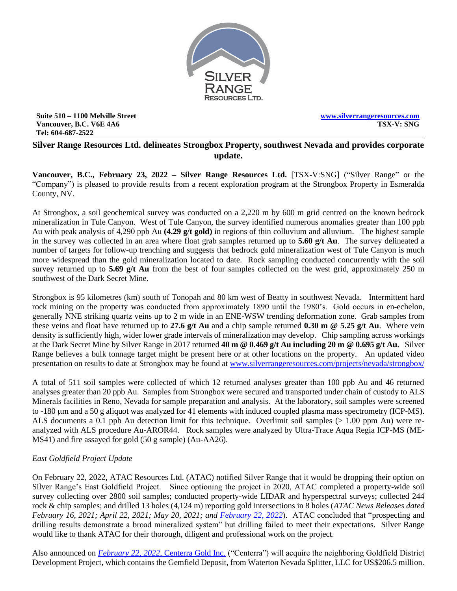

**Suite 510 – 1100 Melville Street Vancouver, B.C. V6E 4A6 Tel: 604-687-2522**

**[www.silverrangeresources.com](http://www.silverrangeresources.com/) TSX-V: SNG**

## **Silver Range Resources Ltd. delineates Strongbox Property, southwest Nevada and provides corporate update.**

**Vancouver, B.C., February 23, 2022 – Silver Range Resources Ltd.** [TSX-V:SNG] ("Silver Range" or the "Company") is pleased to provide results from a recent exploration program at the Strongbox Property in Esmeralda County, NV.

At Strongbox, a soil geochemical survey was conducted on a 2,220 m by 600 m grid centred on the known bedrock mineralization in Tule Canyon. West of Tule Canyon, the survey identified numerous anomalies greater than 100 ppb Au with peak analysis of 4,290 ppb Au **(4.29 g/t gold)** in regions of thin colluvium and alluvium. The highest sample in the survey was collected in an area where float grab samples returned up to **5.60 g/t Au**. The survey delineated a number of targets for follow-up trenching and suggests that bedrock gold mineralization west of Tule Canyon is much more widespread than the gold mineralization located to date. Rock sampling conducted concurrently with the soil survey returned up to **5.69 g/t Au** from the best of four samples collected on the west grid, approximately 250 m southwest of the Dark Secret Mine.

Strongbox is 95 kilometres (km) south of Tonopah and 80 km west of Beatty in southwest Nevada. Intermittent hard rock mining on the property was conducted from approximately 1890 until the 1980's. Gold occurs in en-echelon, generally NNE striking quartz veins up to 2 m wide in an ENE-WSW trending deformation zone. Grab samples from these veins and float have returned up to **27.6 g/t Au** and a chip sample returned **0.30 m @ 5.25 g/t Au**. Where vein density is sufficiently high, wider lower grade intervals of mineralization may develop. Chip sampling across workings at the Dark Secret Mine by Silver Range in 2017 returned **40 m @ 0.469 g/t Au including 20 m @ 0.695 g/t Au.** Silver Range believes a bulk tonnage target might be present here or at other locations on the property. An updated video presentation on results to date at Strongbox may be found at [www.silverrangeresources.com/projects/nevada/strongbox/](https://silverrangeresources.com/projects/nevada/strongbox/)

A total of 511 soil samples were collected of which 12 returned analyses greater than 100 ppb Au and 46 returned analyses greater than 20 ppb Au. Samples from Strongbox were secured and transported under chain of custody to ALS Minerals facilities in Reno, Nevada for sample preparation and analysis. At the laboratory, soil samples were screened to -180 m and a 50 g aliquot was analyzed for 41 elements with induced coupled plasma mass spectrometry (ICP-MS). ALS documents a 0.1 ppb Au detection limit for this technique. Overlimit soil samples (> 1.00 ppm Au) were reanalyzed with ALS procedure Au-AROR44. Rock samples were analyzed by Ultra-Trace Aqua Regia ICP-MS (ME-MS41) and fire assayed for gold (50 g sample) (Au-AA26).

# *East Goldfield Project Update*

On February 22, 2022, ATAC Resources Ltd. (ATAC) notified Silver Range that it would be dropping their option on Silver Range's East Goldfield Project. Since optioning the project in 2020, ATAC completed a property-wide soil survey collecting over 2800 soil samples; conducted property-wide LIDAR and hyperspectral surveys; collected 244 rock & chip samples; and drilled 13 holes (4,124 m) reporting gold intersections in 8 holes (*ATAC News Releases dated February 16, 2021; April 22, 2021; May 20, 2021; and [February 22, 2022](https://atacresources.com/news/news-releases/atac-announces-results-from-east-goldfield-property-nevada)*). ATAC concluded that "prospecting and drilling results demonstrate a broad mineralized system" but drilling failed to meet their expectations. Silver Range would like to thank ATAC for their thorough, diligent and professional work on the project.

Also announced on *February 22, 2022*[, Centerra Gold Inc.](https://s3.amazonaws.com/centerragold/news/February2022/33nQ0MqbY0omBCGbj0ep.pdf) ("Centerra") will acquire the neighboring Goldfield District Development Project, which contains the Gemfield Deposit, from Waterton Nevada Splitter, LLC for US\$206.5 million.